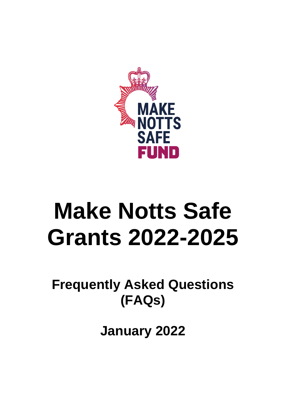

# **Make Notts Safe Grants 2022-2025**

**Frequently Asked Questions (FAQs)**

**January 2022**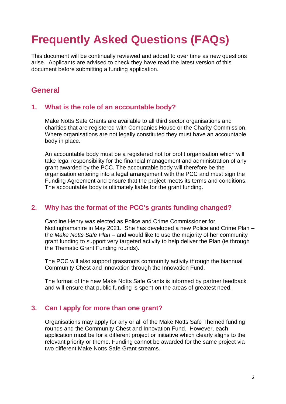# **Frequently Asked Questions (FAQs)**

This document will be continually reviewed and added to over time as new questions arise. Applicants are advised to check they have read the latest version of this document before submitting a funding application.

## **General**

#### **1. What is the role of an accountable body?**

Make Notts Safe Grants are available to all third sector organisations and charities that are registered with Companies House or the Charity Commission. Where organisations are not legally constituted they must have an accountable body in place.

An accountable body must be a registered not for profit organisation which will take legal responsibility for the financial management and administration of any grant awarded by the PCC. The accountable body will therefore be the organisation entering into a legal arrangement with the PCC and must sign the Funding Agreement and ensure that the project meets its terms and conditions. The accountable body is ultimately liable for the grant funding.

#### **2. Why has the format of the PCC's grants funding changed?**

Caroline Henry was elected as Police and Crime Commissioner for Nottinghamshire in May 2021. She has developed a new Police and Crime Plan – the *Make Notts Safe Plan* – and would like to use the majority of her community grant funding to support very targeted activity to help deliver the Plan (ie through the Thematic Grant Funding rounds).

The PCC will also support grassroots community activity through the biannual Community Chest and innovation through the Innovation Fund.

The format of the new Make Notts Safe Grants is informed by partner feedback and will ensure that public funding is spent on the areas of greatest need.

#### **3. Can I apply for more than one grant?**

Organisations may apply for any or all of the Make Notts Safe Themed funding rounds and the Community Chest and Innovation Fund. However, each application must be for a different project or initiative which clearly aligns to the relevant priority or theme. Funding cannot be awarded for the same project via two different Make Notts Safe Grant streams.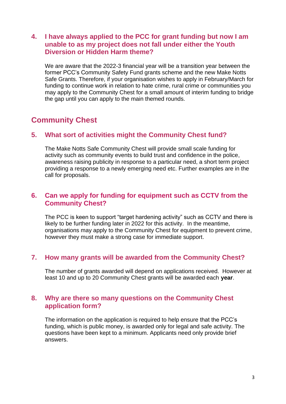#### **4. I have always applied to the PCC for grant funding but now I am unable to as my project does not fall under either the Youth Diversion or Hidden Harm theme?**

We are aware that the 2022-3 financial year will be a transition year between the former PCC's Community Safety Fund grants scheme and the new Make Notts Safe Grants. Therefore, if your organisation wishes to apply in February/March for funding to continue work in relation to hate crime, rural crime or communities you may apply to the Community Chest for a small amount of interim funding to bridge the gap until you can apply to the main themed rounds.

# **Community Chest**

#### **5. What sort of activities might the Community Chest fund?**

The Make Notts Safe Community Chest will provide small scale funding for activity such as community events to build trust and confidence in the police, awareness raising publicity in response to a particular need, a short term project providing a response to a newly emerging need etc. Further examples are in the call for proposals.

#### **6. Can we apply for funding for equipment such as CCTV from the Community Chest?**

The PCC is keen to support "target hardening activity" such as CCTV and there is likely to be further funding later in 2022 for this activity. In the meantime, organisations may apply to the Community Chest for equipment to prevent crime, however they must make a strong case for immediate support.

#### **7. How many grants will be awarded from the Community Chest?**

The number of grants awarded will depend on applications received. However at least 10 and up to 20 Community Chest grants will be awarded each **year**.

#### **8. Why are there so many questions on the Community Chest application form?**

The information on the application is required to help ensure that the PCC's funding, which is public money, is awarded only for legal and safe activity. The questions have been kept to a minimum. Applicants need only provide brief answers.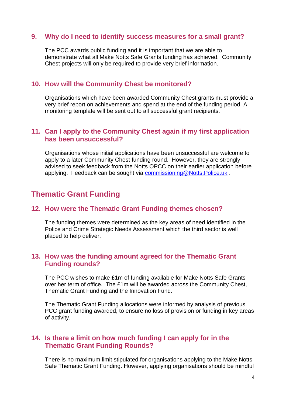#### **9. Why do I need to identify success measures for a small grant?**

The PCC awards public funding and it is important that we are able to demonstrate what all Make Notts Safe Grants funding has achieved. Community Chest projects will only be required to provide very brief information.

#### **10. How will the Community Chest be monitored?**

Organisations which have been awarded Community Chest grants must provide a very brief report on achievements and spend at the end of the funding period. A monitoring template will be sent out to all successful grant recipients.

#### **11. Can I apply to the Community Chest again if my first application has been unsuccessful?**

Organisations whose initial applications have been unsuccessful are welcome to apply to a later Community Chest funding round. However, they are strongly advised to seek feedback from the Notts OPCC on their earlier application before applying. Feedback can be sought via [commissioning@Notts.Police.uk](mailto:commissioning@Notts.Police.uk) .

### **Thematic Grant Funding**

#### **12. How were the Thematic Grant Funding themes chosen?**

The funding themes were determined as the key areas of need identified in the Police and Crime Strategic Needs Assessment which the third sector is well placed to help deliver.

#### **13. How was the funding amount agreed for the Thematic Grant Funding rounds?**

The PCC wishes to make £1m of funding available for Make Notts Safe Grants over her term of office. The £1m will be awarded across the Community Chest, Thematic Grant Funding and the Innovation Fund.

The Thematic Grant Funding allocations were informed by analysis of previous PCC grant funding awarded, to ensure no loss of provision or funding in key areas of activity.

#### **14. Is there a limit on how much funding I can apply for in the Thematic Grant Funding Rounds?**

There is no maximum limit stipulated for organisations applying to the Make Notts Safe Thematic Grant Funding. However, applying organisations should be mindful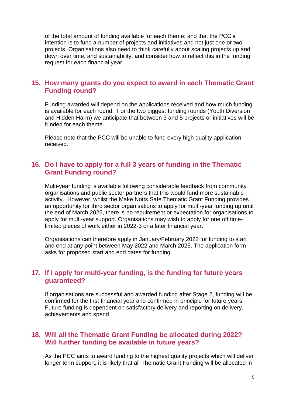of the total amount of funding available for each theme; and that the PCC's intention is to fund a number of projects and initiatives and not just one or two projects. Organisations also need to think carefully about scaling projects up and down over time, and sustainability, and consider how to reflect this in the funding request for each financial year.

#### **15. How many grants do you expect to award in each Thematic Grant Funding round?**

Funding awarded will depend on the applications received and how much funding is available for each round. For the two biggest funding rounds (Youth Diversion and Hidden Harm) we anticipate that between 3 and 5 projects or initiatives will be funded for each theme.

Please note that the PCC will be unable to fund every high quality application received.

#### **16. Do I have to apply for a full 3 years of funding in the Thematic Grant Funding round?**

Multi-year funding is available following considerable feedback from community organisations and public sector partners that this would fund more sustainable activity. However, whilst the Make Notts Safe Thematic Grant Funding provides an opportunity for third sector organisations to apply for multi-year funding up until the end of March 2025, there is no requirement or expectation for organisations to apply for multi-year support. Organisations may wish to apply for one off timelimited pieces of work either in 2022-3 or a later financial year.

Organisations can therefore apply in January/February 2022 for funding to start and end at any point between May 2022 and March 2025. The application form asks for proposed start and end dates for funding.

#### **17. If I apply for multi-year funding, is the funding for future years guaranteed?**

If organisations are successful and awarded funding after Stage 2, funding will be confirmed for the first financial year and confirmed in principle for future years. Future funding is dependent on satisfactory delivery and reporting on delivery, achievements and spend.

#### **18. Will all the Thematic Grant Funding be allocated during 2022? Will further funding be available in future years?**

As the PCC aims to award funding to the highest quality projects which will deliver longer term support, it is likely that all Thematic Grant Funding will be allocated in